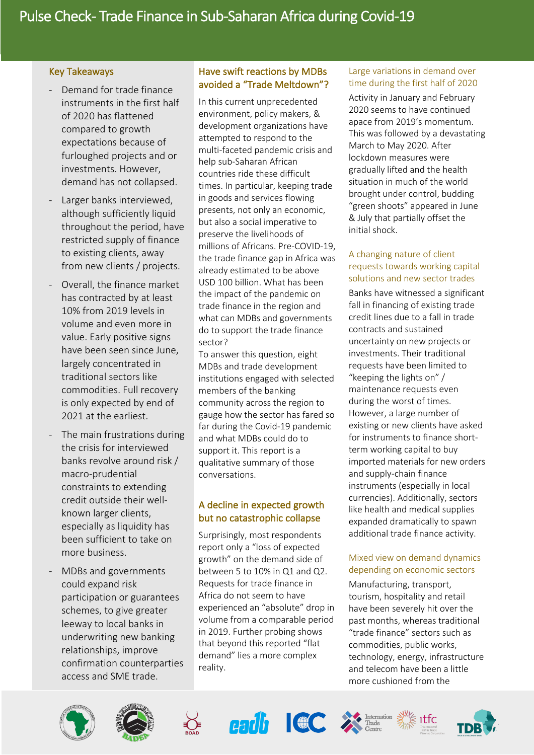## Key Takeaways

in the control of the control of the control of the control of the control of the control of the control of the control of the control of the control of the control of the control of the control of the control of the contr

- Demand for trade finance instruments in the first half of 2020 has flattened compared to growth expectations because of furloughed projects and or investments. However, demand has not collapsed.
- Larger banks interviewed, although sufficiently liquid throughout the period, have restricted supply of finance to existing clients, away from new clients / projects.
- Overall, the finance market has contracted by at least 10% from 2019 levels in volume and even more in value. Early positive signs have been seen since June, largely concentrated in traditional sectors like commodities. Full recovery is only expected by end of 2021 at the earliest.
- The main frustrations during the crisis for interviewed banks revolve around risk / macro-prudential constraints to extending credit outside their wellknown larger clients, especially as liquidity has been sufficient to take on more business.
- MDBs and governments could expand risk participation or guarantees schemes, to give greater leeway to local banks in underwriting new banking relationships, improve confirmation counterparties access and SME trade.

## Have swift reactions by MDBs avoided a "Trade Meltdown"?

In this current unprecedented environment, policy makers, & development organizations have attempted to respond to the multi-faceted pandemic crisis and help sub-Saharan African countries ride these difficult times. In particular, keeping trade in goods and services flowing presents, not only an economic, but also a social imperative to preserve the livelihoods of millions of Africans. Pre-COVID-19, the trade finance gap in Africa was already estimated to be above USD 100 billion. What has been the impact of the pandemic on trade finance in the region and what can MDBs and governments do to support the trade finance sector?

To answer this question, eight MDBs and trade development institutions engaged with selected members of the banking community across the region to gauge how the sector has fared so far during the Covid-19 pandemic and what MDBs could do to support it. This report is a qualitative summary of those conversations.

# A decline in expected growth but no catastrophic collapse

Surprisingly, most respondents report only a "loss of expected growth" on the demand side of between 5 to 10% in Q1 and Q2. Requests for trade finance in Africa do not seem to have experienced an "absolute" drop in volume from a comparable period in 2019. Further probing shows that beyond this reported "flat demand" lies a more complex reality.

## Large variations in demand over time during the first half of 2020

Activity in January and February 2020 seems to have continued apace from 2019's momentum. This was followed by a devastating March to May 2020. After lockdown measures were gradually lifted and the health situation in much of the world brought under control, budding "green shoots" appeared in June & July that partially offset the initial shock.

### A changing nature of client requests towards working capital solutions and new sector trades

Banks have witnessed a significant fall in financing of existing trade credit lines due to a fall in trade contracts and sustained uncertainty on new projects or investments. Their traditional requests have been limited to "keeping the lights on" / maintenance requests even during the worst of times. However, a large number of existing or new clients have asked for instruments to finance shortterm working capital to buy imported materials for new orders and supply-chain finance instruments (especially in local currencies). Additionally, sectors like health and medical supplies expanded dramatically to spawn additional trade finance activity.

# Mixed view on demand dynamics depending on economic sectors

Manufacturing, transport, tourism, hospitality and retail have been severely hit over the past months, whereas traditional "trade finance" sectors such as commodities, public works, technology, energy, infrastructure and telecom have been a little more cushioned from the















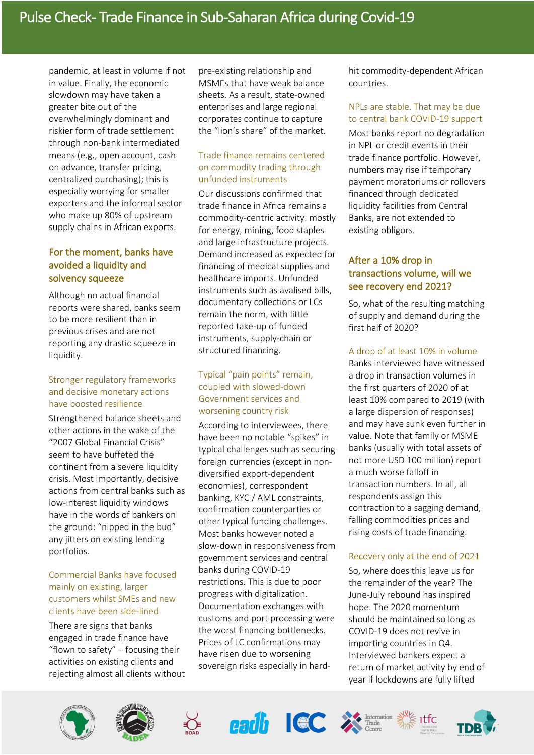pandemic, at least in volume if not in value. Finally, the economic slowdown may have taken a greater bite out of the overwhelmingly dominant and riskier form of trade settlement through non-bank intermediated means (e.g., open account, cash on advance, transfer pricing, centralized purchasing); this is especially worrying for smaller exporters and the informal sector who make up 80% of upstream supply chains in African exports.

# For the moment, banks have avoided a liquidity and solvency squeeze

Although no actual financial reports were shared, banks seem to be more resilient than in previous crises and are not reporting any drastic squeeze in liquidity.

### Stronger regulatory frameworks and decisive monetary actions have boosted resilience

Strengthened balance sheets and other actions in the wake of the "2007 Global Financial Crisis" seem to have buffeted the continent from a severe liquidity crisis. Most importantly, decisive actions from central banks such as low-interest liquidity windows have in the words of bankers on the ground: "nipped in the bud" any jitters on existing lending portfolios.

#### Commercial Banks have focused mainly on existing, larger customers whilst SMEs and new clients have been side-lined

There are signs that banks engaged in trade finance have "flown to safety" – focusing their activities on existing clients and rejecting almost all clients without

pre-existing relationship and MSMEs that have weak balance sheets. As a result, state-owned enterprises and large regional corporates continue to capture the "lion's share" of the market.

## Trade finance remains centered on commodity trading through unfunded instruments

Our discussions confirmed that trade finance in Africa remains a commodity-centric activity: mostly for energy, mining, food staples and large infrastructure projects. Demand increased as expected for financing of medical supplies and healthcare imports. Unfunded instruments such as avalised bills, documentary collections or LCs remain the norm, with little reported take-up of funded instruments, supply-chain or structured financing.

## Typical "pain points" remain, coupled with slowed-down Government services and worsening country risk

According to interviewees, there have been no notable "spikes" in typical challenges such as securing foreign currencies (except in nondiversified export-dependent economies), correspondent banking, KYC / AML constraints, confirmation counterparties or other typical funding challenges. Most banks however noted a slow-down in responsiveness from government services and central banks during COVID-19 restrictions. This is due to poor progress with digitalization. Documentation exchanges with customs and port processing were the worst financing bottlenecks. Prices of LC confirmations may have risen due to worsening sovereign risks especially in hardhit commodity-dependent African countries.

### NPLs are stable. That may be due to central bank COVID-19 support

Most banks report no degradation in NPL or credit events in their trade finance portfolio. However, numbers may rise if temporary payment moratoriums or rollovers financed through dedicated liquidity facilities from Central Banks, are not extended to existing obligors.

## After a 10% drop in transactions volume, will we see recovery end 2021?

So, what of the resulting matching of supply and demand during the first half of 2020?

### A drop of at least 10% in volume

Banks interviewed have witnessed a drop in transaction volumes in the first quarters of 2020 of at least 10% compared to 2019 (with a large dispersion of responses) and may have sunk even further in value. Note that family or MSME banks (usually with total assets of not more USD 100 million) report a much worse falloff in transaction numbers. In all, all respondents assign this contraction to a sagging demand, falling commodities prices and rising costs of trade financing.

### Recovery only at the end of 2021

So, where does this leave us for the remainder of the year? The June-July rebound has inspired hope. The 2020 momentum should be maintained so long as COVID-19 does not revive in importing countries in Q4. Interviewed bankers expect a return of market activity by end of year if lockdowns are fully lifted















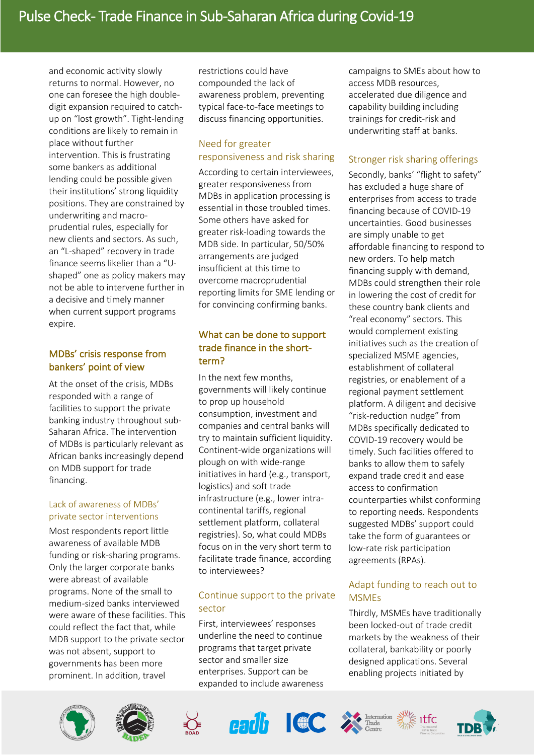and economic activity slowly returns to normal. However, no one can foresee the high doubledigit expansion required to catchup on "lost growth". Tight-lending conditions are likely to remain in place without further intervention. This is frustrating some bankers as additional lending could be possible given their institutions' strong liquidity positions. They are constrained by underwriting and macroprudential rules, especially for new clients and sectors. As such, an "L-shaped" recovery in trade finance seems likelier than a "Ushaped" one as policy makers may not be able to intervene further in a decisive and timely manner when current support programs expire.

## MDBs' crisis response from bankers' point of view

At the onset of the crisis, MDBs responded with a range of facilities to support the private banking industry throughout sub-Saharan Africa. The intervention of MDBs is particularly relevant as African banks increasingly depend on MDB support for trade financing.

### Lack of awareness of MDBs' private sector interventions

Most respondents report little awareness of available MDB funding or risk-sharing programs. Only the larger corporate banks were abreast of available programs. None of the small to medium-sized banks interviewed were aware of these facilities. This could reflect the fact that, while MDB support to the private sector was not absent, support to governments has been more prominent. In addition, travel

restrictions could have compounded the lack of awareness problem, preventing typical face-to-face meetings to discuss financing opportunities.

### Need for greater responsiveness and risk sharing

According to certain interviewees, greater responsiveness from MDBs in application processing is essential in those troubled times. Some others have asked for greater risk-loading towards the MDB side. In particular, 50/50% arrangements are judged insufficient at this time to overcome macroprudential reporting limits for SME lending or for convincing confirming banks.

# What can be done to support trade finance in the shortterm?

In the next few months, governments will likely continue to prop up household consumption, investment and companies and central banks will try to maintain sufficient liquidity. Continent-wide organizations will plough on with wide-range initiatives in hard (e.g., transport, logistics) and soft trade infrastructure (e.g., lower intracontinental tariffs, regional settlement platform, collateral registries). So, what could MDBs focus on in the very short term to facilitate trade finance, according to interviewees?

# Continue support to the private sector

First, interviewees' responses underline the need to continue programs that target private sector and smaller size enterprises. Support can be expanded to include awareness campaigns to SMEs about how to access MDB resources, accelerated due diligence and capability building including trainings for credit-risk and underwriting staff at banks.

## Stronger risk sharing offerings

Secondly, banks' "flight to safety" has excluded a huge share of enterprises from access to trade financing because of COVID-19 uncertainties. Good businesses are simply unable to get affordable financing to respond to new orders. To help match financing supply with demand, MDBs could strengthen their role in lowering the cost of credit for these country bank clients and "real economy" sectors. This would complement existing initiatives such as the creation of specialized MSME agencies, establishment of collateral registries, or enablement of a regional payment settlement platform. A diligent and decisive "risk-reduction nudge" from MDBs specifically dedicated to COVID-19 recovery would be timely. Such facilities offered to banks to allow them to safely expand trade credit and ease access to confirmation counterparties whilst conforming to reporting needs. Respondents suggested MDBs' support could take the form of guarantees or low-rate risk participation agreements (RPAs).

## Adapt funding to reach out to **MSME<sub>S</sub>**

Thirdly, MSMEs have traditionally been locked-out of trade credit markets by the weakness of their collateral, bankability or poorly designed applications. Several enabling projects initiated by













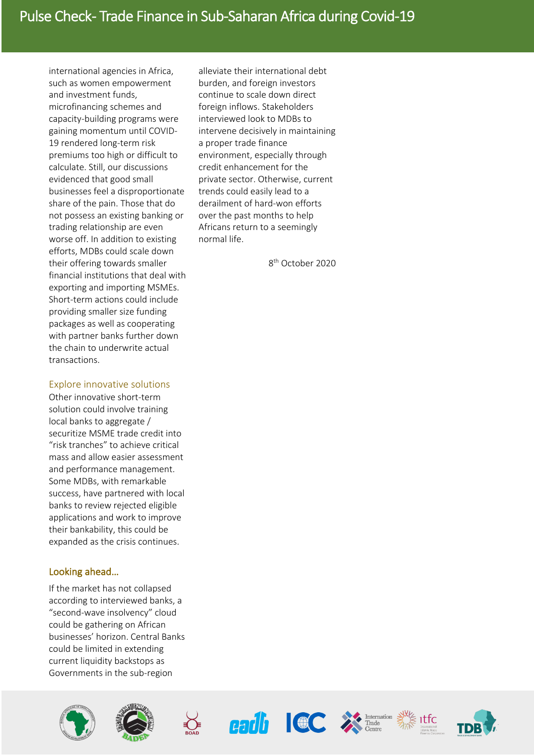international agencies in Africa, such as women empowerment and investment funds, microfinancing schemes and capacity-building programs were gaining momentum until COVID-19 rendered long-term risk premiums too high or difficult to calculate. Still, our discussions evidenced that good small businesses feel a disproportionate share of the pain. Those that do not possess an existing banking or trading relationship are even worse off. In addition to existing efforts, MDBs could scale down their offering towards smaller financial institutions that deal with exporting and importing MSMEs. Short-term actions could include providing smaller size funding packages as well as cooperating with partner banks further down the chain to underwrite actual transactions.

#### Explore innovative solutions

Other innovative short-term solution could involve training local banks to aggregate / securitize MSME trade credit into "risk tranches" to achieve critical mass and allow easier assessment and performance management. Some MDBs, with remarkable success, have partnered with local banks to review rejected eligible applications and work to improve their bankability, this could be expanded as the crisis continues.

### Looking ahead…

If the market has not collapsed according to interviewed banks, a "second-wave insolvency" cloud could be gathering on African businesses' horizon. Central Banks could be limited in extending current liquidity backstops as Governments in the sub-region



alleviate their international debt burden, and foreign investors continue to scale down direct foreign inflows. Stakeholders interviewed look to MDBs to intervene decisively in maintaining a proper trade finance environment, especially through credit enhancement for the private sector. Otherwise, current trends could easily lead to a derailment of hard-won efforts over the past months to help Africans return to a seemingly normal life.

8th October 2020